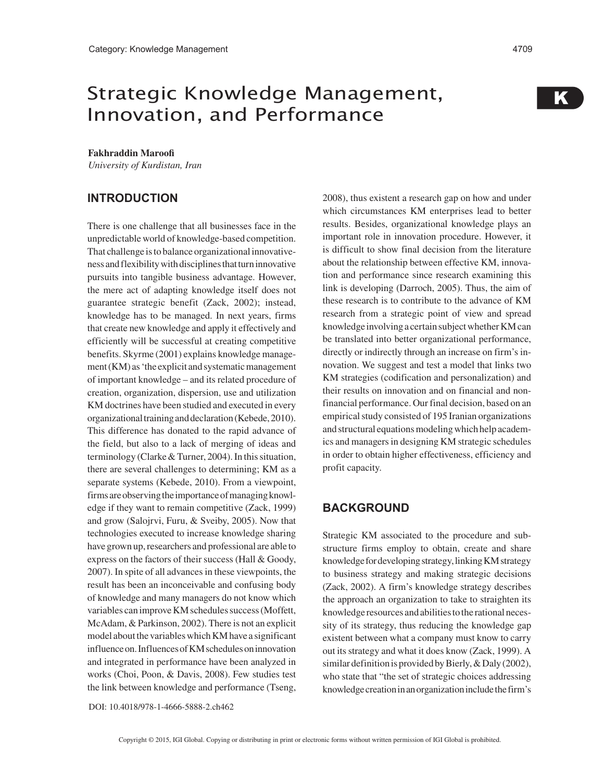# Strategic Knowledge Management, Innovation, and Performance

#### **Fakhraddin Maroofi**

*University of Kurdistan, Iran*

## **INTRODUCTION**

There is one challenge that all businesses face in the unpredictable world of knowledge-based competition. That challenge is to balance organizational innovativeness and flexibility with disciplines that turn innovative pursuits into tangible business advantage. However, the mere act of adapting knowledge itself does not guarantee strategic benefit (Zack, 2002); instead, knowledge has to be managed. In next years, firms that create new knowledge and apply it effectively and efficiently will be successful at creating competitive benefits. Skyrme (2001) explains knowledge management (KM) as 'the explicit and systematic management of important knowledge – and its related procedure of creation, organization, dispersion, use and utilization KM doctrines have been studied and executed in every organizational training and declaration (Kebede, 2010). This difference has donated to the rapid advance of the field, but also to a lack of merging of ideas and terminology (Clarke & Turner, 2004). In this situation, there are several challenges to determining; KM as a separate systems (Kebede, 2010). From a viewpoint, firms are observing the importance of managing knowledge if they want to remain competitive (Zack, 1999) and grow (Salojrvi, Furu, & Sveiby, 2005). Now that technologies executed to increase knowledge sharing have grown up, researchers and professional are able to express on the factors of their success (Hall & Goody, 2007). In spite of all advances in these viewpoints, the result has been an inconceivable and confusing body of knowledge and many managers do not know which variables can improve KM schedules success (Moffett, McAdam, & Parkinson, 2002). There is not an explicit model about the variables which KM have a significant influence on. Influences of KM schedules on innovation and integrated in performance have been analyzed in works (Choi, Poon, & Davis, 2008). Few studies test the link between knowledge and performance (Tseng, 2008), thus existent a research gap on how and under which circumstances KM enterprises lead to better results. Besides, organizational knowledge plays an important role in innovation procedure. However, it is difficult to show final decision from the literature about the relationship between effective KM, innovation and performance since research examining this link is developing (Darroch, 2005). Thus, the aim of these research is to contribute to the advance of KM research from a strategic point of view and spread knowledge involving a certain subject whether KM can be translated into better organizational performance, directly or indirectly through an increase on firm's innovation. We suggest and test a model that links two KM strategies (codification and personalization) and their results on innovation and on financial and nonfinancial performance. Our final decision, based on an empirical study consisted of 195 Iranian organizations and structural equations modeling which help academics and managers in designing KM strategic schedules in order to obtain higher effectiveness, efficiency and profit capacity.

## **BACKGROUND**

Strategic KM associated to the procedure and substructure firms employ to obtain, create and share knowledge for developing strategy, linking KM strategy to business strategy and making strategic decisions (Zack, 2002). A firm's knowledge strategy describes the approach an organization to take to straighten its knowledge resources and abilities to the rational necessity of its strategy, thus reducing the knowledge gap existent between what a company must know to carry out its strategy and what it does know (Zack, 1999). A similar definition is provided by Bierly, & Daly (2002), who state that "the set of strategic choices addressing knowledge creation in an organization include the firm's

DOI: 10.4018/978-1-4666-5888-2.ch462

K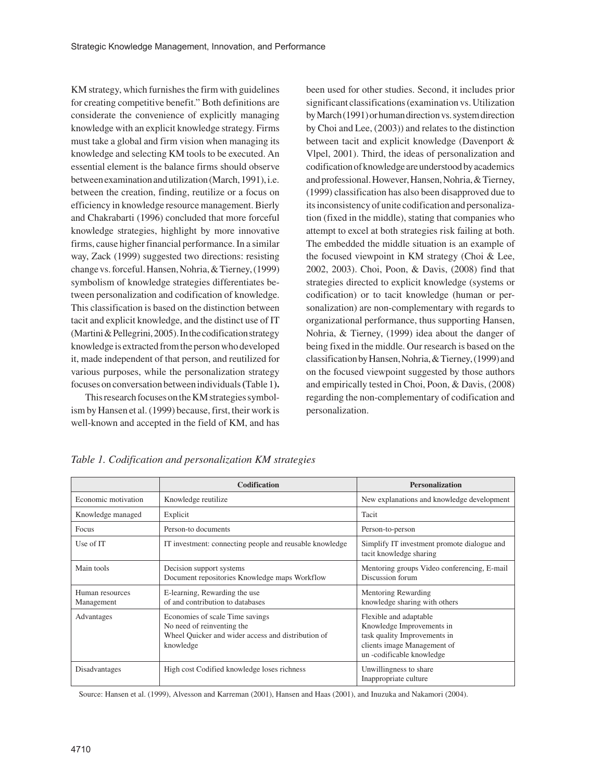KM strategy, which furnishes the firm with guidelines for creating competitive benefit." Both definitions are considerate the convenience of explicitly managing knowledge with an explicit knowledge strategy. Firms must take a global and firm vision when managing its knowledge and selecting KM tools to be executed. An essential element is the balance firms should observe between examination and utilization (March, 1991), i.e. between the creation, finding, reutilize or a focus on efficiency in knowledge resource management. Bierly and Chakrabarti (1996) concluded that more forceful knowledge strategies, highlight by more innovative firms, cause higher financial performance. In a similar way, Zack (1999) suggested two directions: resisting change vs. forceful. Hansen, Nohria, & Tierney, (1999) symbolism of knowledge strategies differentiates between personalization and codification of knowledge. This classification is based on the distinction between tacit and explicit knowledge, and the distinct use of IT (Martini & Pellegrini, 2005). In the codification strategy knowledge is extracted from the person who developed it, made independent of that person, and reutilized for various purposes, while the personalization strategy focuses on conversation between individuals **(**Table 1**).**

This research focuses on the KM strategies symbolism by Hansen et al. (1999) because, first, their work is well-known and accepted in the field of KM, and has been used for other studies. Second, it includes prior significant classifications (examination vs. Utilization by March (1991) or human direction vs. system direction by Choi and Lee, (2003)) and relates to the distinction between tacit and explicit knowledge (Davenport & Vlpel, 2001). Third, the ideas of personalization and codification of knowledge are understood by academics and professional. However, Hansen, Nohria, & Tierney, (1999) classification has also been disapproved due to its inconsistency of unite codification and personalization (fixed in the middle), stating that companies who attempt to excel at both strategies risk failing at both. The embedded the middle situation is an example of the focused viewpoint in KM strategy (Choi & Lee, 2002, 2003). Choi, Poon, & Davis, (2008) find that strategies directed to explicit knowledge (systems or codification) or to tacit knowledge (human or personalization) are non-complementary with regards to organizational performance, thus supporting Hansen, Nohria, & Tierney, (1999) idea about the danger of being fixed in the middle. Our research is based on the classification by Hansen, Nohria, & Tierney, (1999) and on the focused viewpoint suggested by those authors and empirically tested in Choi, Poon, & Davis, (2008) regarding the non-complementary of codification and personalization.

|                               | <b>Codification</b>                                                                                                              | <b>Personalization</b>                                                                                                                          |
|-------------------------------|----------------------------------------------------------------------------------------------------------------------------------|-------------------------------------------------------------------------------------------------------------------------------------------------|
| Economic motivation           | Knowledge reutilize                                                                                                              | New explanations and knowledge development                                                                                                      |
| Knowledge managed             | Explicit                                                                                                                         | Tacit                                                                                                                                           |
| Focus                         | Person-to documents                                                                                                              | Person-to-person                                                                                                                                |
| Use of IT                     | IT investment: connecting people and reusable knowledge                                                                          | Simplify IT investment promote dialogue and<br>tacit knowledge sharing                                                                          |
| Main tools                    | Decision support systems<br>Document repositories Knowledge maps Workflow                                                        | Mentoring groups Video conferencing, E-mail<br>Discussion forum                                                                                 |
| Human resources<br>Management | E-learning, Rewarding the use<br>of and contribution to databases                                                                | Mentoring Rewarding<br>knowledge sharing with others                                                                                            |
| Advantages                    | Economies of scale Time savings<br>No need of reinventing the<br>Wheel Quicker and wider access and distribution of<br>knowledge | Flexible and adaptable<br>Knowledge Improvements in<br>task quality Improvements in<br>clients image Management of<br>un -codificable knowledge |
| Disadvantages                 | High cost Codified knowledge loses richness                                                                                      | Unwillingness to share<br>Inappropriate culture                                                                                                 |

*Table 1. Codification and personalization KM strategies* 

Source: Hansen et al. (1999), Alvesson and Karreman (2001), Hansen and Haas (2001), and Inuzuka and Nakamori (2004).